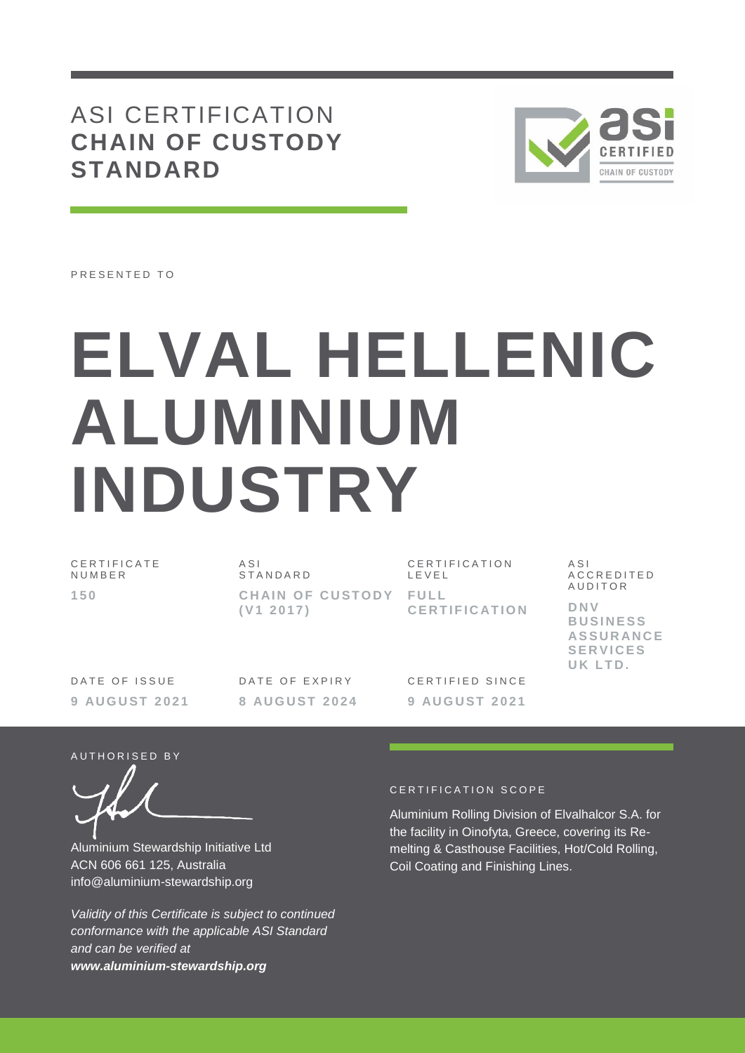# ASI CERTIFICATION **CHAIN OF CUSTODY STANDARD**



PRESENTED TO

# **ELVAL HELLENIC ALUMINIUM INDUSTRY**

| CERTIFICATE<br>NUMBER | A <sub>SI</sub><br>STANDARD        | CERTIFICATION<br>LEVEL                                   | A S I<br>ACCREDITED                                                                 |
|-----------------------|------------------------------------|----------------------------------------------------------|-------------------------------------------------------------------------------------|
| 150                   | CHAIN OF CUSTODY FULL<br>(V1 2017) | <b>CERTIFICATION</b>                                     | AUDITOR<br>DNV<br><b>BUSINESS</b><br><b>ASSURANCE</b><br><b>SERVICES</b><br>UK LTD. |
| $        -$           |                                    | $\sim$ = $\sim$ = $\sim$ = $\sim$ $\sim$ $\sim$ $\sim$ = |                                                                                     |

DATE OF ISSUE **9 AU G U S T 2 0 2 1** DATE OF EXPIRY **8 AU G U S T 2 0 2 4** CERTIFIED SINCE **9 AU G U S T 2 0 2 1**

AUTHORISED BY

Aluminium Stewardship Initiative Ltd ACN 606 661 125, Australia info@aluminium-stewardship.org

*Validity of this Certificate is subject to continued conformance with the applicable ASI Standard and can be verified at www.aluminium-stewardship.org*

#### CERTIFICATION SCOPE

Aluminium Rolling Division of Elvalhalcor S.A. for the facility in Oinofyta, Greece, covering its Remelting & Casthouse Facilities, Hot/Cold Rolling, Coil Coating and Finishing Lines.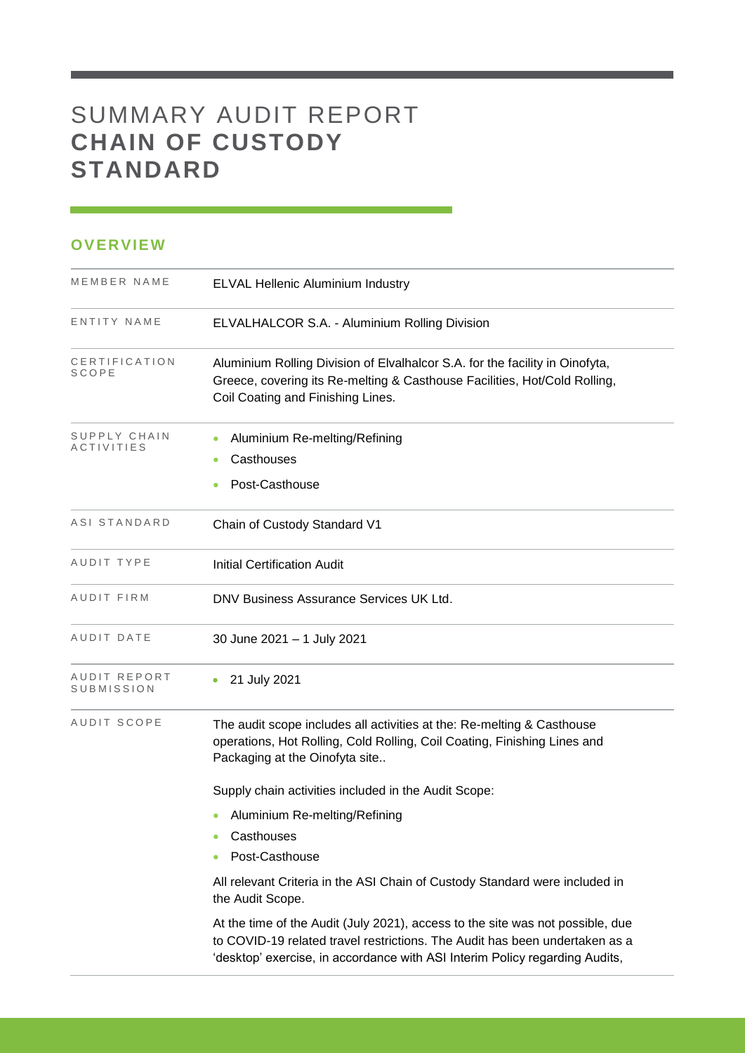# SUMMARY AUDIT REPORT **CHAIN OF CUSTODY STANDARD**

## **OVERVIEW**

| MEMBER NAME                | <b>ELVAL Hellenic Aluminium Industry</b>                                                                                                                                                                                                     |
|----------------------------|----------------------------------------------------------------------------------------------------------------------------------------------------------------------------------------------------------------------------------------------|
| ENTITY NAME                | ELVALHALCOR S.A. - Aluminium Rolling Division                                                                                                                                                                                                |
| CERTIFICATION<br>SCOPE     | Aluminium Rolling Division of Elvalhalcor S.A. for the facility in Oinofyta,<br>Greece, covering its Re-melting & Casthouse Facilities, Hot/Cold Rolling,<br>Coil Coating and Finishing Lines.                                               |
| SUPPLY CHAIN<br>ACTIVITIES | Aluminium Re-melting/Refining<br>Casthouses<br>Post-Casthouse                                                                                                                                                                                |
| ASI STANDARD               | Chain of Custody Standard V1                                                                                                                                                                                                                 |
| AUDIT TYPE                 | <b>Initial Certification Audit</b>                                                                                                                                                                                                           |
| AUDIT FIRM                 | DNV Business Assurance Services UK Ltd.                                                                                                                                                                                                      |
| AUDIT DATE                 | 30 June 2021 - 1 July 2021                                                                                                                                                                                                                   |
| AUDIT REPORT<br>SUBMISSION | 21 July 2021<br>٠                                                                                                                                                                                                                            |
| AUDIT SCOPE                | The audit scope includes all activities at the: Re-melting & Casthouse<br>operations, Hot Rolling, Cold Rolling, Coil Coating, Finishing Lines and<br>Packaging at the Oinofyta site                                                         |
|                            | Supply chain activities included in the Audit Scope:                                                                                                                                                                                         |
|                            | Aluminium Re-melting/Refining<br>$\bullet$                                                                                                                                                                                                   |
|                            | Casthouses                                                                                                                                                                                                                                   |
|                            | Post-Casthouse                                                                                                                                                                                                                               |
|                            | All relevant Criteria in the ASI Chain of Custody Standard were included in<br>the Audit Scope.                                                                                                                                              |
|                            | At the time of the Audit (July 2021), access to the site was not possible, due<br>to COVID-19 related travel restrictions. The Audit has been undertaken as a<br>'desktop' exercise, in accordance with ASI Interim Policy regarding Audits, |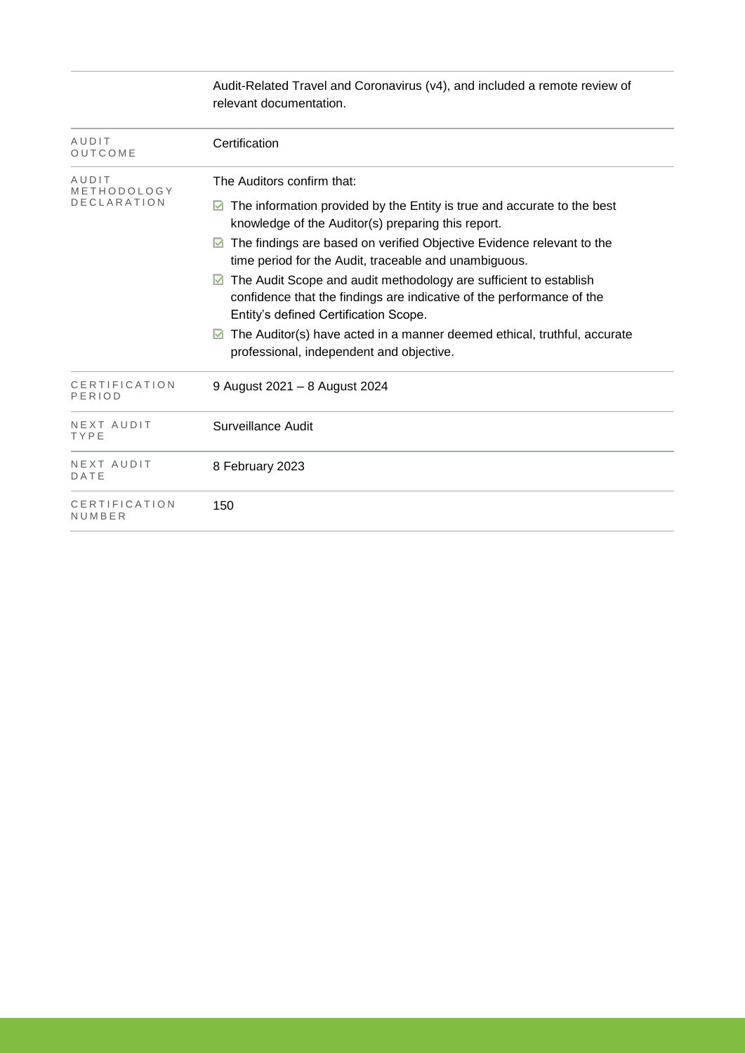|                         | Audit-Related Travel and Coronavirus (v4), and included a remote review of<br>relevant documentation.                                                                                    |  |  |
|-------------------------|------------------------------------------------------------------------------------------------------------------------------------------------------------------------------------------|--|--|
| AUDIT<br>OUTCOME        | Certification                                                                                                                                                                            |  |  |
| AUDIT<br>METHODOLOGY    | The Auditors confirm that:                                                                                                                                                               |  |  |
| DECLARATION             | The information provided by the Entity is true and accurate to the best<br>M<br>knowledge of the Auditor(s) preparing this report.                                                       |  |  |
|                         | The findings are based on verified Objective Evidence relevant to the<br>time period for the Audit, traceable and unambiguous.                                                           |  |  |
|                         | The Audit Scope and audit methodology are sufficient to establish<br>M<br>confidence that the findings are indicative of the performance of the<br>Entity's defined Certification Scope. |  |  |
|                         | The Auditor(s) have acted in a manner deemed ethical, truthful, accurate<br>M<br>professional, independent and objective.                                                                |  |  |
| CERTIFICATION<br>PERIOD | 9 August 2021 - 8 August 2024                                                                                                                                                            |  |  |
| NEXT AUDIT<br>TYPE      | <b>Surveillance Audit</b>                                                                                                                                                                |  |  |
| NEXT AUDIT<br>DATE      | 8 February 2023                                                                                                                                                                          |  |  |
| CERTIFICATION<br>NUMBER | 150                                                                                                                                                                                      |  |  |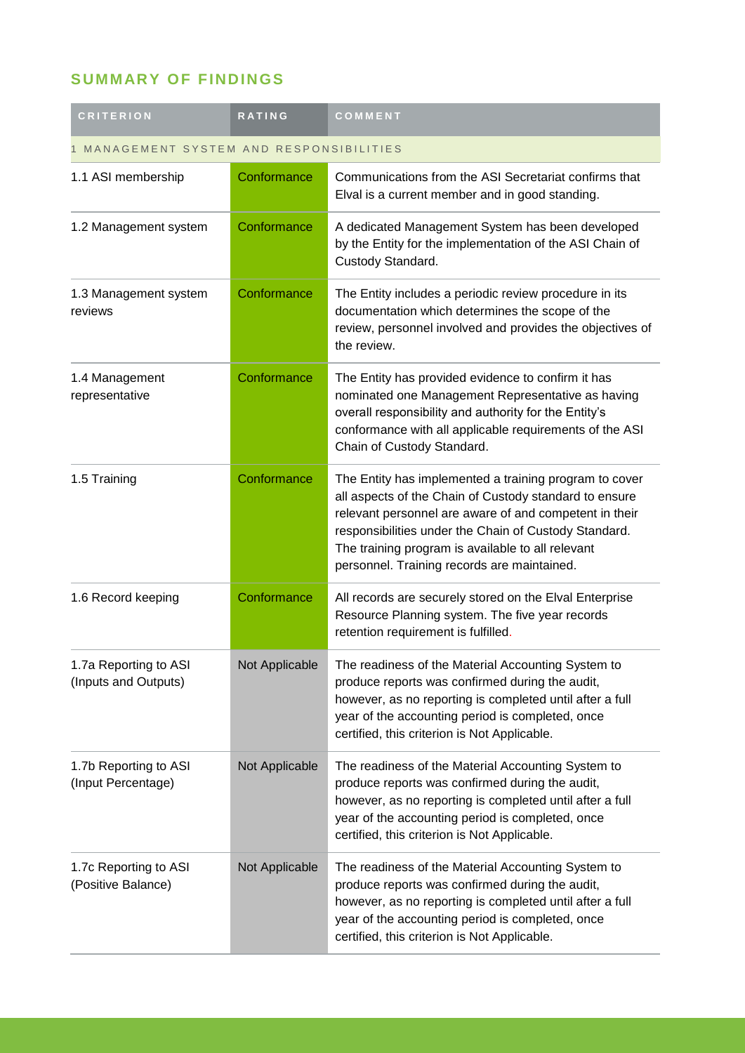# **SUMMARY OF FINDINGS**

| <b>CRITERION</b>                              | <b>RATING</b>  | COMMENT                                                                                                                                                                                                                                                                                                                                 |
|-----------------------------------------------|----------------|-----------------------------------------------------------------------------------------------------------------------------------------------------------------------------------------------------------------------------------------------------------------------------------------------------------------------------------------|
| MANAGEMENT SYSTEM AND RESPONSIBILITIES        |                |                                                                                                                                                                                                                                                                                                                                         |
| 1.1 ASI membership                            | Conformance    | Communications from the ASI Secretariat confirms that<br>Elval is a current member and in good standing.                                                                                                                                                                                                                                |
| 1.2 Management system                         | Conformance    | A dedicated Management System has been developed<br>by the Entity for the implementation of the ASI Chain of<br>Custody Standard.                                                                                                                                                                                                       |
| 1.3 Management system<br>reviews              | Conformance    | The Entity includes a periodic review procedure in its<br>documentation which determines the scope of the<br>review, personnel involved and provides the objectives of<br>the review.                                                                                                                                                   |
| 1.4 Management<br>representative              | Conformance    | The Entity has provided evidence to confirm it has<br>nominated one Management Representative as having<br>overall responsibility and authority for the Entity's<br>conformance with all applicable requirements of the ASI<br>Chain of Custody Standard.                                                                               |
| 1.5 Training                                  | Conformance    | The Entity has implemented a training program to cover<br>all aspects of the Chain of Custody standard to ensure<br>relevant personnel are aware of and competent in their<br>responsibilities under the Chain of Custody Standard.<br>The training program is available to all relevant<br>personnel. Training records are maintained. |
| 1.6 Record keeping                            | Conformance    | All records are securely stored on the Elval Enterprise<br>Resource Planning system. The five year records<br>retention requirement is fulfilled.                                                                                                                                                                                       |
| 1.7a Reporting to ASI<br>(Inputs and Outputs) | Not Applicable | The readiness of the Material Accounting System to<br>produce reports was confirmed during the audit,<br>however, as no reporting is completed until after a full<br>year of the accounting period is completed, once<br>certified, this criterion is Not Applicable.                                                                   |
| 1.7b Reporting to ASI<br>(Input Percentage)   | Not Applicable | The readiness of the Material Accounting System to<br>produce reports was confirmed during the audit,<br>however, as no reporting is completed until after a full<br>year of the accounting period is completed, once<br>certified, this criterion is Not Applicable.                                                                   |
| 1.7c Reporting to ASI<br>(Positive Balance)   | Not Applicable | The readiness of the Material Accounting System to<br>produce reports was confirmed during the audit,<br>however, as no reporting is completed until after a full<br>year of the accounting period is completed, once<br>certified, this criterion is Not Applicable.                                                                   |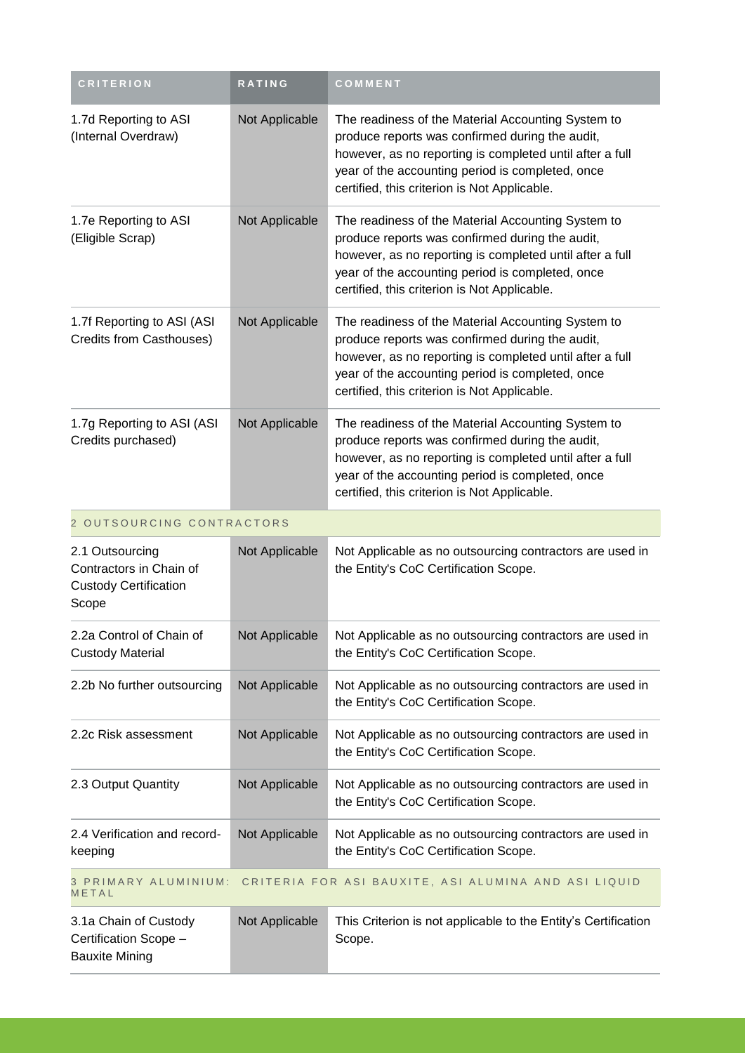| <b>CRITERION</b>                                                                      | RATING         | COMMENT                                                                                                                                                                                                                                                               |
|---------------------------------------------------------------------------------------|----------------|-----------------------------------------------------------------------------------------------------------------------------------------------------------------------------------------------------------------------------------------------------------------------|
| 1.7d Reporting to ASI<br>(Internal Overdraw)                                          | Not Applicable | The readiness of the Material Accounting System to<br>produce reports was confirmed during the audit,<br>however, as no reporting is completed until after a full<br>year of the accounting period is completed, once<br>certified, this criterion is Not Applicable. |
| 1.7e Reporting to ASI<br>(Eligible Scrap)                                             | Not Applicable | The readiness of the Material Accounting System to<br>produce reports was confirmed during the audit,<br>however, as no reporting is completed until after a full<br>year of the accounting period is completed, once<br>certified, this criterion is Not Applicable. |
| 1.7f Reporting to ASI (ASI<br>Credits from Casthouses)                                | Not Applicable | The readiness of the Material Accounting System to<br>produce reports was confirmed during the audit,<br>however, as no reporting is completed until after a full<br>year of the accounting period is completed, once<br>certified, this criterion is Not Applicable. |
| 1.7g Reporting to ASI (ASI<br>Credits purchased)                                      | Not Applicable | The readiness of the Material Accounting System to<br>produce reports was confirmed during the audit,<br>however, as no reporting is completed until after a full<br>year of the accounting period is completed, once<br>certified, this criterion is Not Applicable. |
| 2 OUTSOURCING CONTRACTORS                                                             |                |                                                                                                                                                                                                                                                                       |
| 2.1 Outsourcing<br>Contractors in Chain of<br><b>Custody Certification</b><br>Scope   | Not Applicable | Not Applicable as no outsourcing contractors are used in<br>the Entity's CoC Certification Scope.                                                                                                                                                                     |
| 2.2a Control of Chain of<br><b>Custody Material</b>                                   | Not Applicable | Not Applicable as no outsourcing contractors are used in<br>the Entity's CoC Certification Scope.                                                                                                                                                                     |
| 2.2b No further outsourcing                                                           | Not Applicable | Not Applicable as no outsourcing contractors are used in<br>the Entity's CoC Certification Scope.                                                                                                                                                                     |
| 2.2c Risk assessment                                                                  | Not Applicable | Not Applicable as no outsourcing contractors are used in<br>the Entity's CoC Certification Scope.                                                                                                                                                                     |
| 2.3 Output Quantity                                                                   | Not Applicable | Not Applicable as no outsourcing contractors are used in<br>the Entity's CoC Certification Scope.                                                                                                                                                                     |
| 2.4 Verification and record-<br>keeping                                               | Not Applicable | Not Applicable as no outsourcing contractors are used in<br>the Entity's CoC Certification Scope.                                                                                                                                                                     |
| 3 PRIMARY ALUMINIUM:<br>CRITERIA FOR ASI BAUXITE, ASI ALUMINA AND ASI LIQUID<br>METAL |                |                                                                                                                                                                                                                                                                       |
| 3.1a Chain of Custody<br>Certification Scope -<br><b>Bauxite Mining</b>               | Not Applicable | This Criterion is not applicable to the Entity's Certification<br>Scope.                                                                                                                                                                                              |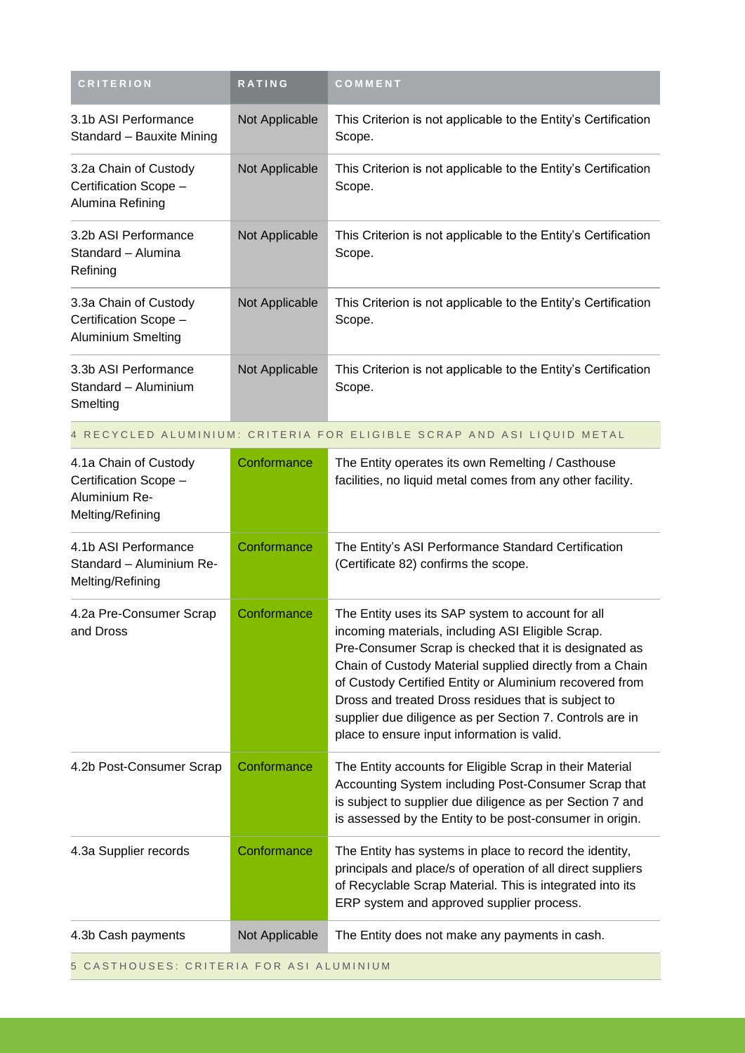| <b>CRITERION</b>                                                                    | RATING         | COMMENT                                                                                                                                                                                                                                                                                                                                                                                                                                                   |
|-------------------------------------------------------------------------------------|----------------|-----------------------------------------------------------------------------------------------------------------------------------------------------------------------------------------------------------------------------------------------------------------------------------------------------------------------------------------------------------------------------------------------------------------------------------------------------------|
| 3.1b ASI Performance<br>Standard - Bauxite Mining                                   | Not Applicable | This Criterion is not applicable to the Entity's Certification<br>Scope.                                                                                                                                                                                                                                                                                                                                                                                  |
| 3.2a Chain of Custody<br>Certification Scope -<br>Alumina Refining                  | Not Applicable | This Criterion is not applicable to the Entity's Certification<br>Scope.                                                                                                                                                                                                                                                                                                                                                                                  |
| 3.2b ASI Performance<br>Standard - Alumina<br>Refining                              | Not Applicable | This Criterion is not applicable to the Entity's Certification<br>Scope.                                                                                                                                                                                                                                                                                                                                                                                  |
| 3.3a Chain of Custody<br>Certification Scope -<br>Aluminium Smelting                | Not Applicable | This Criterion is not applicable to the Entity's Certification<br>Scope.                                                                                                                                                                                                                                                                                                                                                                                  |
| 3.3b ASI Performance<br>Standard - Aluminium<br>Smelting                            | Not Applicable | This Criterion is not applicable to the Entity's Certification<br>Scope.                                                                                                                                                                                                                                                                                                                                                                                  |
|                                                                                     |                | 4 RECYCLED ALUMINIUM: CRITERIA FOR ELIGIBLE SCRAP AND ASI LIQUID METAL                                                                                                                                                                                                                                                                                                                                                                                    |
| 4.1a Chain of Custody<br>Certification Scope -<br>Aluminium Re-<br>Melting/Refining | Conformance    | The Entity operates its own Remelting / Casthouse<br>facilities, no liquid metal comes from any other facility.                                                                                                                                                                                                                                                                                                                                           |
| 4.1b ASI Performance<br>Standard - Aluminium Re-<br>Melting/Refining                | Conformance    | The Entity's ASI Performance Standard Certification<br>(Certificate 82) confirms the scope.                                                                                                                                                                                                                                                                                                                                                               |
| 4.2a Pre-Consumer Scrap<br>and Dross                                                | Conformance    | The Entity uses its SAP system to account for all<br>incoming materials, including ASI Eligible Scrap.<br>Pre-Consumer Scrap is checked that it is designated as<br>Chain of Custody Material supplied directly from a Chain<br>of Custody Certified Entity or Aluminium recovered from<br>Dross and treated Dross residues that is subject to<br>supplier due diligence as per Section 7. Controls are in<br>place to ensure input information is valid. |
| 4.2b Post-Consumer Scrap                                                            | Conformance    | The Entity accounts for Eligible Scrap in their Material<br>Accounting System including Post-Consumer Scrap that<br>is subject to supplier due diligence as per Section 7 and<br>is assessed by the Entity to be post-consumer in origin.                                                                                                                                                                                                                 |
| 4.3a Supplier records                                                               | Conformance    | The Entity has systems in place to record the identity,<br>principals and place/s of operation of all direct suppliers<br>of Recyclable Scrap Material. This is integrated into its<br>ERP system and approved supplier process.                                                                                                                                                                                                                          |
| 4.3b Cash payments                                                                  | Not Applicable | The Entity does not make any payments in cash.                                                                                                                                                                                                                                                                                                                                                                                                            |
| 5 CASTHOUSES: CRITERIA FOR ASI ALUMINIUM                                            |                |                                                                                                                                                                                                                                                                                                                                                                                                                                                           |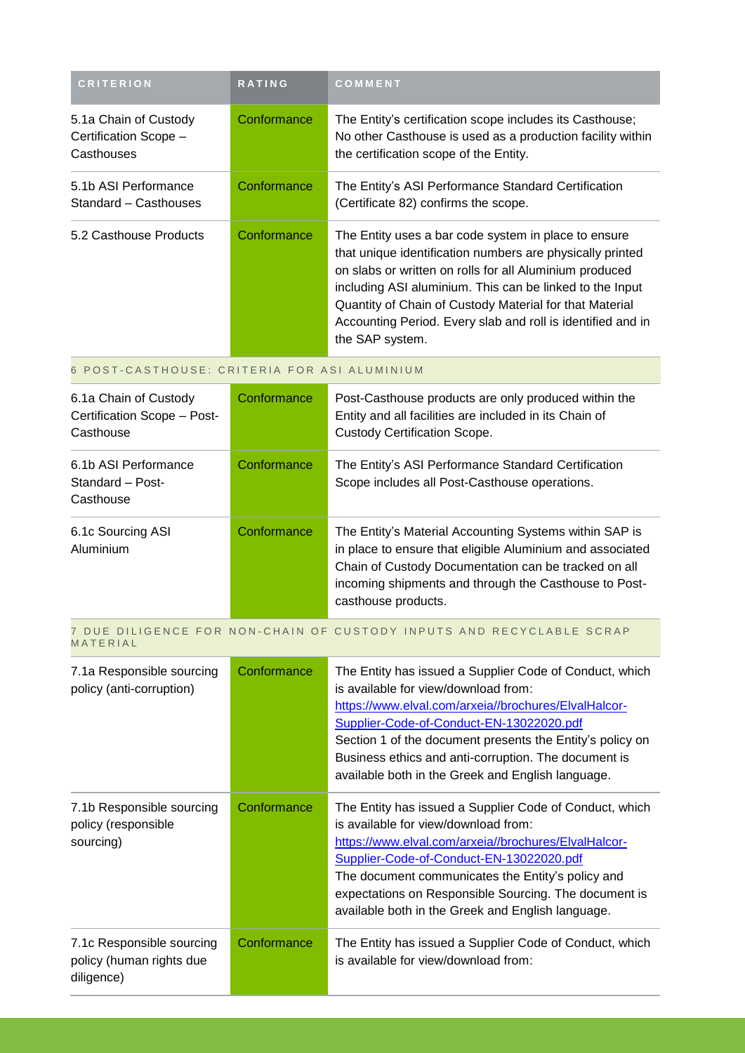| <b>CRITERION</b>                                                    | RATING      | COMMENT                                                                                                                                                                                                                                                                                                                                                                               |
|---------------------------------------------------------------------|-------------|---------------------------------------------------------------------------------------------------------------------------------------------------------------------------------------------------------------------------------------------------------------------------------------------------------------------------------------------------------------------------------------|
| 5.1a Chain of Custody<br>Certification Scope -<br>Casthouses        | Conformance | The Entity's certification scope includes its Casthouse;<br>No other Casthouse is used as a production facility within<br>the certification scope of the Entity.                                                                                                                                                                                                                      |
| 5.1b ASI Performance<br>Standard - Casthouses                       | Conformance | The Entity's ASI Performance Standard Certification<br>(Certificate 82) confirms the scope.                                                                                                                                                                                                                                                                                           |
| 5.2 Casthouse Products                                              | Conformance | The Entity uses a bar code system in place to ensure<br>that unique identification numbers are physically printed<br>on slabs or written on rolls for all Aluminium produced<br>including ASI aluminium. This can be linked to the Input<br>Quantity of Chain of Custody Material for that Material<br>Accounting Period. Every slab and roll is identified and in<br>the SAP system. |
| 6 POST-CASTHOUSE: CRITERIA FOR ASI ALUMINIUM                        |             |                                                                                                                                                                                                                                                                                                                                                                                       |
| 6.1a Chain of Custody<br>Certification Scope - Post-<br>Casthouse   | Conformance | Post-Casthouse products are only produced within the<br>Entity and all facilities are included in its Chain of<br><b>Custody Certification Scope.</b>                                                                                                                                                                                                                                 |
| 6.1b ASI Performance<br>Standard - Post-<br>Casthouse               | Conformance | The Entity's ASI Performance Standard Certification<br>Scope includes all Post-Casthouse operations.                                                                                                                                                                                                                                                                                  |
| 6.1c Sourcing ASI<br>Aluminium                                      | Conformance | The Entity's Material Accounting Systems within SAP is<br>in place to ensure that eligible Aluminium and associated<br>Chain of Custody Documentation can be tracked on all<br>incoming shipments and through the Casthouse to Post-<br>casthouse products.                                                                                                                           |
| MATERIAL                                                            |             | 7 DUE DILIGENCE FOR NON-CHAIN OF CUSTODY INPUTS AND RECYCLABLE SCRAP                                                                                                                                                                                                                                                                                                                  |
| 7.1a Responsible sourcing<br>policy (anti-corruption)               | Conformance | The Entity has issued a Supplier Code of Conduct, which<br>is available for view/download from:<br>https://www.elval.com/arxeia//brochures/ElvalHalcor-<br>Supplier-Code-of-Conduct-EN-13022020.pdf<br>Section 1 of the document presents the Entity's policy on<br>Business ethics and anti-corruption. The document is<br>available both in the Greek and English language.         |
| 7.1b Responsible sourcing<br>policy (responsible<br>sourcing)       | Conformance | The Entity has issued a Supplier Code of Conduct, which<br>is available for view/download from:<br>https://www.elval.com/arxeia//brochures/ElvalHalcor-<br>Supplier-Code-of-Conduct-EN-13022020.pdf<br>The document communicates the Entity's policy and<br>expectations on Responsible Sourcing. The document is<br>available both in the Greek and English language.                |
| 7.1c Responsible sourcing<br>policy (human rights due<br>diligence) | Conformance | The Entity has issued a Supplier Code of Conduct, which<br>is available for view/download from:                                                                                                                                                                                                                                                                                       |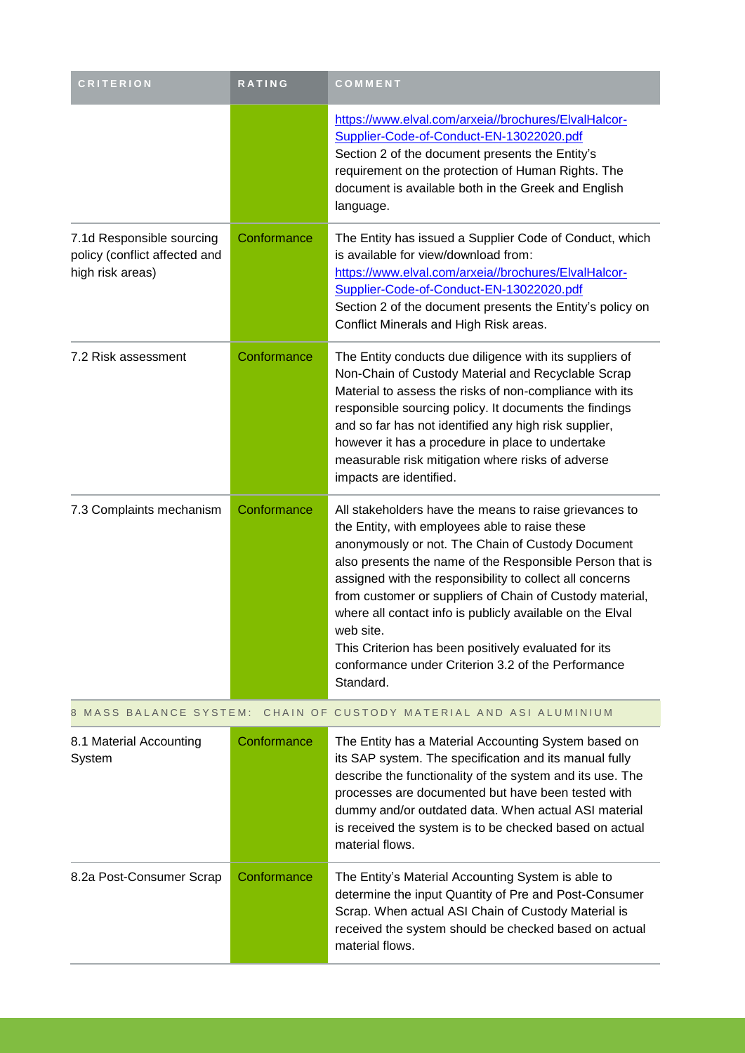| <b>CRITERION</b>                                                               | <b>RATING</b> | COMMENT                                                                                                                                                                                                                                                                                                                                                                                                                                                                                                                                                |
|--------------------------------------------------------------------------------|---------------|--------------------------------------------------------------------------------------------------------------------------------------------------------------------------------------------------------------------------------------------------------------------------------------------------------------------------------------------------------------------------------------------------------------------------------------------------------------------------------------------------------------------------------------------------------|
|                                                                                |               | https://www.elval.com/arxeia//brochures/ElvalHalcor-<br>Supplier-Code-of-Conduct-EN-13022020.pdf<br>Section 2 of the document presents the Entity's<br>requirement on the protection of Human Rights. The<br>document is available both in the Greek and English<br>language.                                                                                                                                                                                                                                                                          |
| 7.1d Responsible sourcing<br>policy (conflict affected and<br>high risk areas) | Conformance   | The Entity has issued a Supplier Code of Conduct, which<br>is available for view/download from:<br>https://www.elval.com/arxeia//brochures/ElvalHalcor-<br>Supplier-Code-of-Conduct-EN-13022020.pdf<br>Section 2 of the document presents the Entity's policy on<br>Conflict Minerals and High Risk areas.                                                                                                                                                                                                                                             |
| 7.2 Risk assessment                                                            | Conformance   | The Entity conducts due diligence with its suppliers of<br>Non-Chain of Custody Material and Recyclable Scrap<br>Material to assess the risks of non-compliance with its<br>responsible sourcing policy. It documents the findings<br>and so far has not identified any high risk supplier,<br>however it has a procedure in place to undertake<br>measurable risk mitigation where risks of adverse<br>impacts are identified.                                                                                                                        |
| 7.3 Complaints mechanism                                                       | Conformance   | All stakeholders have the means to raise grievances to<br>the Entity, with employees able to raise these<br>anonymously or not. The Chain of Custody Document<br>also presents the name of the Responsible Person that is<br>assigned with the responsibility to collect all concerns<br>from customer or suppliers of Chain of Custody material,<br>where all contact info is publicly available on the Elval<br>web site.<br>This Criterion has been positively evaluated for its<br>conformance under Criterion 3.2 of the Performance<br>Standard. |
| 8 MASS BALANCE SYSTEM:                                                         |               | CHAIN OF CUSTODY MATERIAL AND ASI ALUMINIUM                                                                                                                                                                                                                                                                                                                                                                                                                                                                                                            |

| 8.1 Material Accounting<br>System | Conformance | The Entity has a Material Accounting System based on<br>its SAP system. The specification and its manual fully<br>describe the functionality of the system and its use. The<br>processes are documented but have been tested with<br>dummy and/or outdated data. When actual ASI material<br>is received the system is to be checked based on actual<br>material flows. |
|-----------------------------------|-------------|-------------------------------------------------------------------------------------------------------------------------------------------------------------------------------------------------------------------------------------------------------------------------------------------------------------------------------------------------------------------------|
| 8.2a Post-Consumer Scrap          | Conformance | The Entity's Material Accounting System is able to<br>determine the input Quantity of Pre and Post-Consumer<br>Scrap. When actual ASI Chain of Custody Material is<br>received the system should be checked based on actual<br>material flows.                                                                                                                          |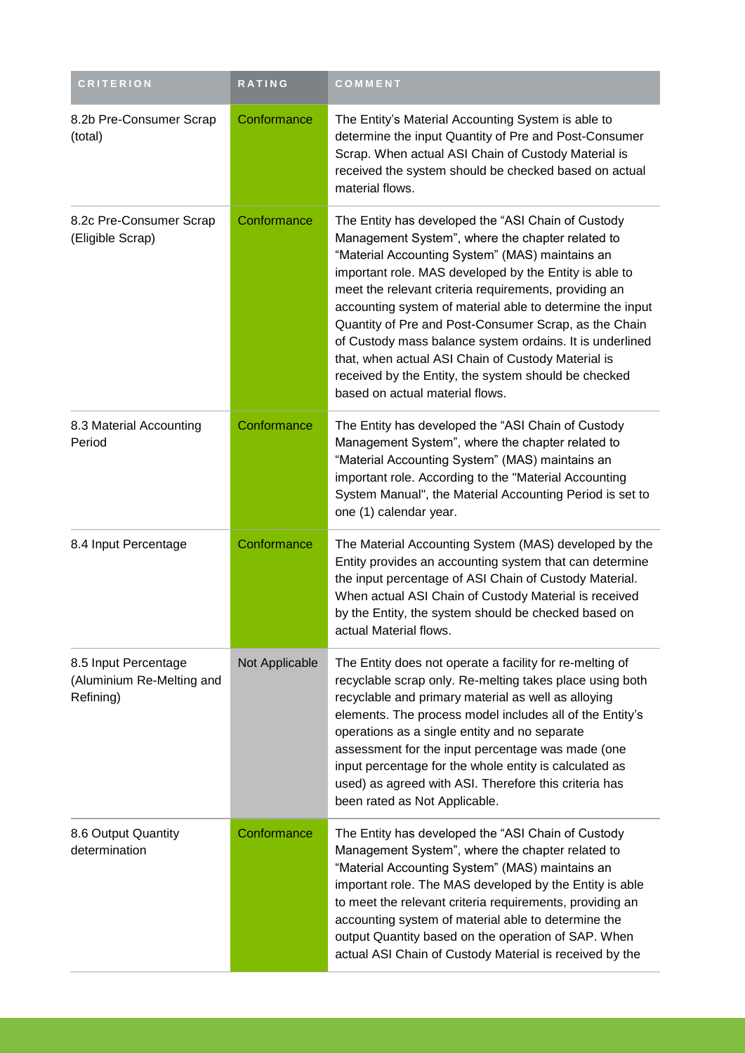| <b>CRITERION</b>                                               | RATING         | COMMENT                                                                                                                                                                                                                                                                                                                                                                                                                                                                                                                                                                                                         |
|----------------------------------------------------------------|----------------|-----------------------------------------------------------------------------------------------------------------------------------------------------------------------------------------------------------------------------------------------------------------------------------------------------------------------------------------------------------------------------------------------------------------------------------------------------------------------------------------------------------------------------------------------------------------------------------------------------------------|
| 8.2b Pre-Consumer Scrap<br>(total)                             | Conformance    | The Entity's Material Accounting System is able to<br>determine the input Quantity of Pre and Post-Consumer<br>Scrap. When actual ASI Chain of Custody Material is<br>received the system should be checked based on actual<br>material flows.                                                                                                                                                                                                                                                                                                                                                                  |
| 8.2c Pre-Consumer Scrap<br>(Eligible Scrap)                    | Conformance    | The Entity has developed the "ASI Chain of Custody<br>Management System", where the chapter related to<br>"Material Accounting System" (MAS) maintains an<br>important role. MAS developed by the Entity is able to<br>meet the relevant criteria requirements, providing an<br>accounting system of material able to determine the input<br>Quantity of Pre and Post-Consumer Scrap, as the Chain<br>of Custody mass balance system ordains. It is underlined<br>that, when actual ASI Chain of Custody Material is<br>received by the Entity, the system should be checked<br>based on actual material flows. |
| 8.3 Material Accounting<br>Period                              | Conformance    | The Entity has developed the "ASI Chain of Custody<br>Management System", where the chapter related to<br>"Material Accounting System" (MAS) maintains an<br>important role. According to the "Material Accounting<br>System Manual", the Material Accounting Period is set to<br>one (1) calendar year.                                                                                                                                                                                                                                                                                                        |
| 8.4 Input Percentage                                           | Conformance    | The Material Accounting System (MAS) developed by the<br>Entity provides an accounting system that can determine<br>the input percentage of ASI Chain of Custody Material.<br>When actual ASI Chain of Custody Material is received<br>by the Entity, the system should be checked based on<br>actual Material flows.                                                                                                                                                                                                                                                                                           |
| 8.5 Input Percentage<br>(Aluminium Re-Melting and<br>Refining) | Not Applicable | The Entity does not operate a facility for re-melting of<br>recyclable scrap only. Re-melting takes place using both<br>recyclable and primary material as well as alloying<br>elements. The process model includes all of the Entity's<br>operations as a single entity and no separate<br>assessment for the input percentage was made (one<br>input percentage for the whole entity is calculated as<br>used) as agreed with ASI. Therefore this criteria has<br>been rated as Not Applicable.                                                                                                               |
| 8.6 Output Quantity<br>determination                           | Conformance    | The Entity has developed the "ASI Chain of Custody<br>Management System", where the chapter related to<br>"Material Accounting System" (MAS) maintains an<br>important role. The MAS developed by the Entity is able<br>to meet the relevant criteria requirements, providing an<br>accounting system of material able to determine the<br>output Quantity based on the operation of SAP. When<br>actual ASI Chain of Custody Material is received by the                                                                                                                                                       |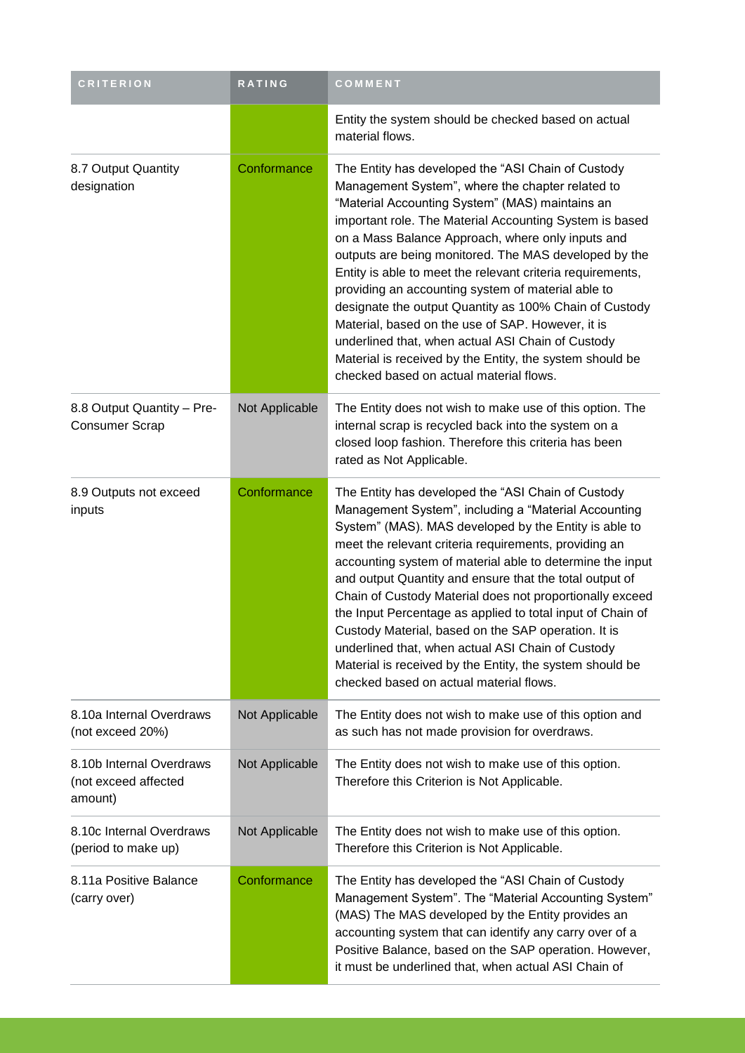| <b>CRITERION</b>                                            | RATING         | COMMENT                                                                                                                                                                                                                                                                                                                                                                                                                                                                                                                                                                                                                                                                                                                           |
|-------------------------------------------------------------|----------------|-----------------------------------------------------------------------------------------------------------------------------------------------------------------------------------------------------------------------------------------------------------------------------------------------------------------------------------------------------------------------------------------------------------------------------------------------------------------------------------------------------------------------------------------------------------------------------------------------------------------------------------------------------------------------------------------------------------------------------------|
|                                                             |                | Entity the system should be checked based on actual<br>material flows.                                                                                                                                                                                                                                                                                                                                                                                                                                                                                                                                                                                                                                                            |
| 8.7 Output Quantity<br>designation                          | Conformance    | The Entity has developed the "ASI Chain of Custody<br>Management System", where the chapter related to<br>"Material Accounting System" (MAS) maintains an<br>important role. The Material Accounting System is based<br>on a Mass Balance Approach, where only inputs and<br>outputs are being monitored. The MAS developed by the<br>Entity is able to meet the relevant criteria requirements,<br>providing an accounting system of material able to<br>designate the output Quantity as 100% Chain of Custody<br>Material, based on the use of SAP. However, it is<br>underlined that, when actual ASI Chain of Custody<br>Material is received by the Entity, the system should be<br>checked based on actual material flows. |
| 8.8 Output Quantity - Pre-<br><b>Consumer Scrap</b>         | Not Applicable | The Entity does not wish to make use of this option. The<br>internal scrap is recycled back into the system on a<br>closed loop fashion. Therefore this criteria has been<br>rated as Not Applicable.                                                                                                                                                                                                                                                                                                                                                                                                                                                                                                                             |
| 8.9 Outputs not exceed<br>inputs                            | Conformance    | The Entity has developed the "ASI Chain of Custody<br>Management System", including a "Material Accounting<br>System" (MAS). MAS developed by the Entity is able to<br>meet the relevant criteria requirements, providing an<br>accounting system of material able to determine the input<br>and output Quantity and ensure that the total output of<br>Chain of Custody Material does not proportionally exceed<br>the Input Percentage as applied to total input of Chain of<br>Custody Material, based on the SAP operation. It is<br>underlined that, when actual ASI Chain of Custody<br>Material is received by the Entity, the system should be<br>checked based on actual material flows.                                 |
| 8.10a Internal Overdraws<br>(not exceed 20%)                | Not Applicable | The Entity does not wish to make use of this option and<br>as such has not made provision for overdraws.                                                                                                                                                                                                                                                                                                                                                                                                                                                                                                                                                                                                                          |
| 8.10b Internal Overdraws<br>(not exceed affected<br>amount) | Not Applicable | The Entity does not wish to make use of this option.<br>Therefore this Criterion is Not Applicable.                                                                                                                                                                                                                                                                                                                                                                                                                                                                                                                                                                                                                               |
| 8.10c Internal Overdraws<br>(period to make up)             | Not Applicable | The Entity does not wish to make use of this option.<br>Therefore this Criterion is Not Applicable.                                                                                                                                                                                                                                                                                                                                                                                                                                                                                                                                                                                                                               |
| 8.11a Positive Balance<br>(carry over)                      | Conformance    | The Entity has developed the "ASI Chain of Custody<br>Management System". The "Material Accounting System"<br>(MAS) The MAS developed by the Entity provides an<br>accounting system that can identify any carry over of a<br>Positive Balance, based on the SAP operation. However,<br>it must be underlined that, when actual ASI Chain of                                                                                                                                                                                                                                                                                                                                                                                      |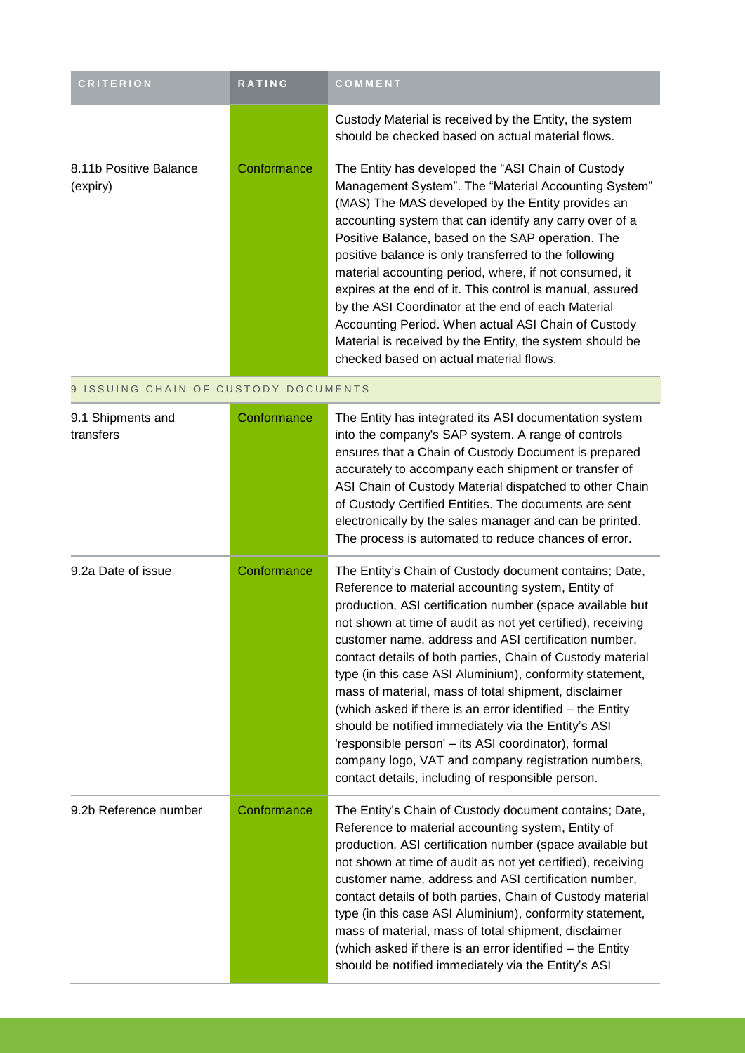| <b>CRITERION</b>                   | <b>RATING</b> | <b>COMMENT</b>                                                                                                                                                                                                                                                                                                                                                                                                                                                                                                                                                                                                                                                                       |
|------------------------------------|---------------|--------------------------------------------------------------------------------------------------------------------------------------------------------------------------------------------------------------------------------------------------------------------------------------------------------------------------------------------------------------------------------------------------------------------------------------------------------------------------------------------------------------------------------------------------------------------------------------------------------------------------------------------------------------------------------------|
|                                    |               | Custody Material is received by the Entity, the system<br>should be checked based on actual material flows.                                                                                                                                                                                                                                                                                                                                                                                                                                                                                                                                                                          |
| 8.11b Positive Balance<br>(expiry) | Conformance   | The Entity has developed the "ASI Chain of Custody"<br>Management System". The "Material Accounting System"<br>(MAS) The MAS developed by the Entity provides an<br>accounting system that can identify any carry over of a<br>Positive Balance, based on the SAP operation. The<br>positive balance is only transferred to the following<br>material accounting period, where, if not consumed, it<br>expires at the end of it. This control is manual, assured<br>by the ASI Coordinator at the end of each Material<br>Accounting Period. When actual ASI Chain of Custody<br>Material is received by the Entity, the system should be<br>checked based on actual material flows. |

#### 9 ISSUING CHAIN OF CUSTODY DOCUMENTS

| 9.1 Shipments and<br>transfers | Conformance | The Entity has integrated its ASI documentation system<br>into the company's SAP system. A range of controls<br>ensures that a Chain of Custody Document is prepared<br>accurately to accompany each shipment or transfer of<br>ASI Chain of Custody Material dispatched to other Chain<br>of Custody Certified Entities. The documents are sent<br>electronically by the sales manager and can be printed.<br>The process is automated to reduce chances of error.                                                                                                                                                                                                                                                                                                       |
|--------------------------------|-------------|---------------------------------------------------------------------------------------------------------------------------------------------------------------------------------------------------------------------------------------------------------------------------------------------------------------------------------------------------------------------------------------------------------------------------------------------------------------------------------------------------------------------------------------------------------------------------------------------------------------------------------------------------------------------------------------------------------------------------------------------------------------------------|
| 9.2a Date of issue             | Conformance | The Entity's Chain of Custody document contains; Date,<br>Reference to material accounting system, Entity of<br>production, ASI certification number (space available but<br>not shown at time of audit as not yet certified), receiving<br>customer name, address and ASI certification number,<br>contact details of both parties, Chain of Custody material<br>type (in this case ASI Aluminium), conformity statement,<br>mass of material, mass of total shipment, disclaimer<br>(which asked if there is an error identified - the Entity<br>should be notified immediately via the Entity's ASI<br>'responsible person' - its ASI coordinator), formal<br>company logo, VAT and company registration numbers,<br>contact details, including of responsible person. |
| 9.2b Reference number          | Conformance | The Entity's Chain of Custody document contains; Date,<br>Reference to material accounting system, Entity of<br>production, ASI certification number (space available but<br>not shown at time of audit as not yet certified), receiving<br>customer name, address and ASI certification number,<br>contact details of both parties, Chain of Custody material<br>type (in this case ASI Aluminium), conformity statement,<br>mass of material, mass of total shipment, disclaimer<br>(which asked if there is an error identified - the Entity<br>should be notified immediately via the Entity's ASI                                                                                                                                                                    |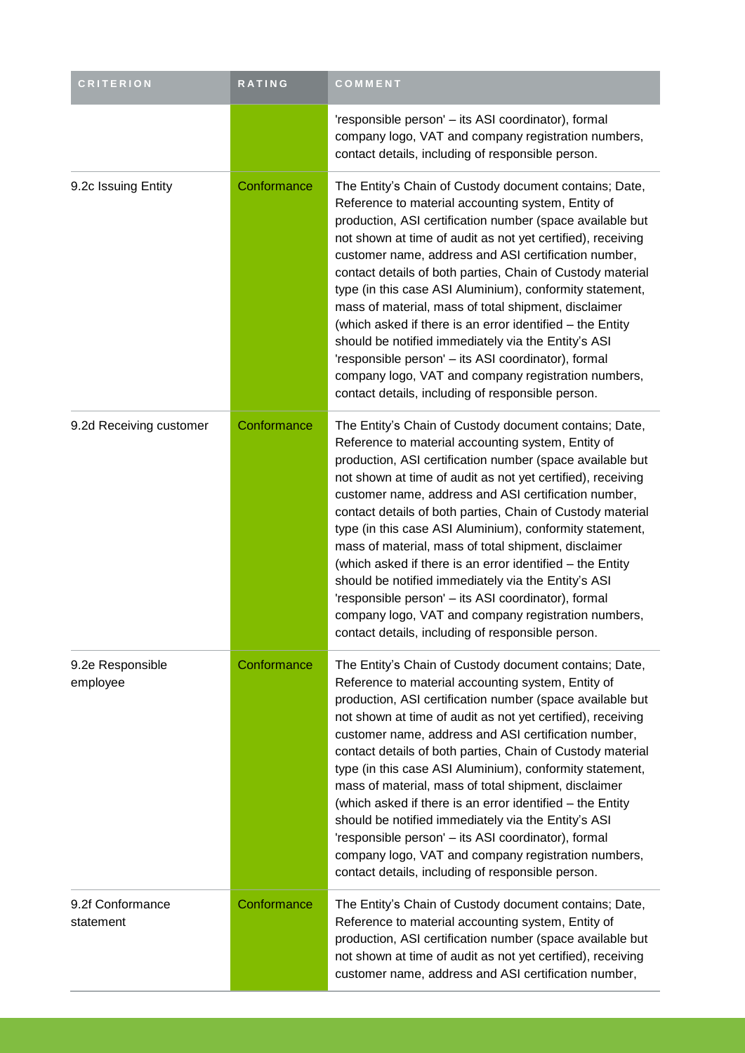| <b>CRITERION</b>              | RATING      | COMMENT                                                                                                                                                                                                                                                                                                                                                                                                                                                                                                                                                                                                                                                                                                                                                                   |
|-------------------------------|-------------|---------------------------------------------------------------------------------------------------------------------------------------------------------------------------------------------------------------------------------------------------------------------------------------------------------------------------------------------------------------------------------------------------------------------------------------------------------------------------------------------------------------------------------------------------------------------------------------------------------------------------------------------------------------------------------------------------------------------------------------------------------------------------|
|                               |             | 'responsible person' - its ASI coordinator), formal<br>company logo, VAT and company registration numbers,<br>contact details, including of responsible person.                                                                                                                                                                                                                                                                                                                                                                                                                                                                                                                                                                                                           |
| 9.2c Issuing Entity           | Conformance | The Entity's Chain of Custody document contains; Date,<br>Reference to material accounting system, Entity of<br>production, ASI certification number (space available but<br>not shown at time of audit as not yet certified), receiving<br>customer name, address and ASI certification number,<br>contact details of both parties, Chain of Custody material<br>type (in this case ASI Aluminium), conformity statement,<br>mass of material, mass of total shipment, disclaimer<br>(which asked if there is an error identified - the Entity<br>should be notified immediately via the Entity's ASI<br>'responsible person' - its ASI coordinator), formal<br>company logo, VAT and company registration numbers,<br>contact details, including of responsible person. |
| 9.2d Receiving customer       | Conformance | The Entity's Chain of Custody document contains; Date,<br>Reference to material accounting system, Entity of<br>production, ASI certification number (space available but<br>not shown at time of audit as not yet certified), receiving<br>customer name, address and ASI certification number,<br>contact details of both parties, Chain of Custody material<br>type (in this case ASI Aluminium), conformity statement,<br>mass of material, mass of total shipment, disclaimer<br>(which asked if there is an error identified - the Entity<br>should be notified immediately via the Entity's ASI<br>'responsible person' - its ASI coordinator), formal<br>company logo, VAT and company registration numbers,<br>contact details, including of responsible person. |
| 9.2e Responsible<br>employee  | Conformance | The Entity's Chain of Custody document contains; Date,<br>Reference to material accounting system, Entity of<br>production, ASI certification number (space available but<br>not shown at time of audit as not yet certified), receiving<br>customer name, address and ASI certification number,<br>contact details of both parties, Chain of Custody material<br>type (in this case ASI Aluminium), conformity statement,<br>mass of material, mass of total shipment, disclaimer<br>(which asked if there is an error identified - the Entity<br>should be notified immediately via the Entity's ASI<br>'responsible person' - its ASI coordinator), formal<br>company logo, VAT and company registration numbers,<br>contact details, including of responsible person. |
| 9.2f Conformance<br>statement | Conformance | The Entity's Chain of Custody document contains; Date,<br>Reference to material accounting system, Entity of<br>production, ASI certification number (space available but<br>not shown at time of audit as not yet certified), receiving<br>customer name, address and ASI certification number,                                                                                                                                                                                                                                                                                                                                                                                                                                                                          |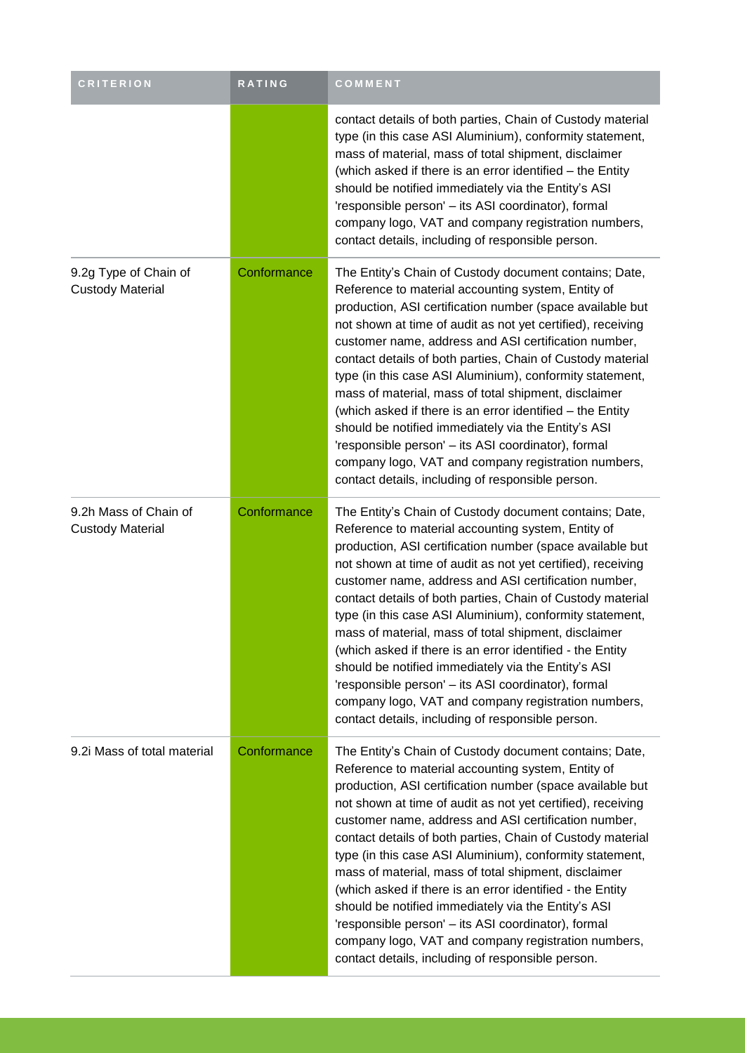| <b>CRITERION</b>                                 | RATING      | COMMENT                                                                                                                                                                                                                                                                                                                                                                                                                                                                                                                                                                                                                                                                                                                                                                   |
|--------------------------------------------------|-------------|---------------------------------------------------------------------------------------------------------------------------------------------------------------------------------------------------------------------------------------------------------------------------------------------------------------------------------------------------------------------------------------------------------------------------------------------------------------------------------------------------------------------------------------------------------------------------------------------------------------------------------------------------------------------------------------------------------------------------------------------------------------------------|
|                                                  |             | contact details of both parties, Chain of Custody material<br>type (in this case ASI Aluminium), conformity statement,<br>mass of material, mass of total shipment, disclaimer<br>(which asked if there is an error identified - the Entity<br>should be notified immediately via the Entity's ASI<br>'responsible person' - its ASI coordinator), formal<br>company logo, VAT and company registration numbers,<br>contact details, including of responsible person.                                                                                                                                                                                                                                                                                                     |
| 9.2g Type of Chain of<br><b>Custody Material</b> | Conformance | The Entity's Chain of Custody document contains; Date,<br>Reference to material accounting system, Entity of<br>production, ASI certification number (space available but<br>not shown at time of audit as not yet certified), receiving<br>customer name, address and ASI certification number,<br>contact details of both parties, Chain of Custody material<br>type (in this case ASI Aluminium), conformity statement,<br>mass of material, mass of total shipment, disclaimer<br>(which asked if there is an error identified - the Entity<br>should be notified immediately via the Entity's ASI<br>'responsible person' - its ASI coordinator), formal<br>company logo, VAT and company registration numbers,<br>contact details, including of responsible person. |
| 9.2h Mass of Chain of<br><b>Custody Material</b> | Conformance | The Entity's Chain of Custody document contains; Date,<br>Reference to material accounting system, Entity of<br>production, ASI certification number (space available but<br>not shown at time of audit as not yet certified), receiving<br>customer name, address and ASI certification number,<br>contact details of both parties, Chain of Custody material<br>type (in this case ASI Aluminium), conformity statement,<br>mass of material, mass of total shipment, disclaimer<br>(which asked if there is an error identified - the Entity<br>should be notified immediately via the Entity's ASI<br>'responsible person' - its ASI coordinator), formal<br>company logo, VAT and company registration numbers,<br>contact details, including of responsible person. |
| 9.2i Mass of total material                      | Conformance | The Entity's Chain of Custody document contains; Date,<br>Reference to material accounting system, Entity of<br>production, ASI certification number (space available but<br>not shown at time of audit as not yet certified), receiving<br>customer name, address and ASI certification number,<br>contact details of both parties, Chain of Custody material<br>type (in this case ASI Aluminium), conformity statement,<br>mass of material, mass of total shipment, disclaimer<br>(which asked if there is an error identified - the Entity<br>should be notified immediately via the Entity's ASI<br>'responsible person' - its ASI coordinator), formal<br>company logo, VAT and company registration numbers,<br>contact details, including of responsible person. |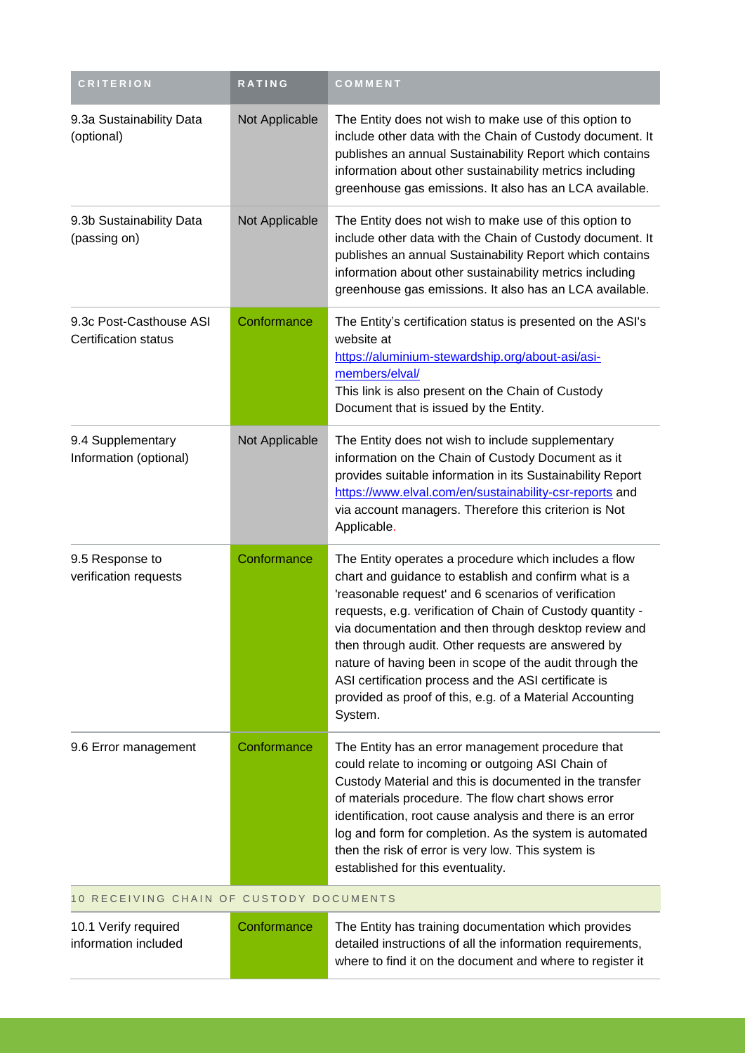| <b>CRITERION</b>                                       | RATING         | COMMENT                                                                                                                                                                                                                                                                                                                                                                                                                                                                                                                                       |
|--------------------------------------------------------|----------------|-----------------------------------------------------------------------------------------------------------------------------------------------------------------------------------------------------------------------------------------------------------------------------------------------------------------------------------------------------------------------------------------------------------------------------------------------------------------------------------------------------------------------------------------------|
| 9.3a Sustainability Data<br>(optional)                 | Not Applicable | The Entity does not wish to make use of this option to<br>include other data with the Chain of Custody document. It<br>publishes an annual Sustainability Report which contains<br>information about other sustainability metrics including<br>greenhouse gas emissions. It also has an LCA available.                                                                                                                                                                                                                                        |
| 9.3b Sustainability Data<br>(passing on)               | Not Applicable | The Entity does not wish to make use of this option to<br>include other data with the Chain of Custody document. It<br>publishes an annual Sustainability Report which contains<br>information about other sustainability metrics including<br>greenhouse gas emissions. It also has an LCA available.                                                                                                                                                                                                                                        |
| 9.3c Post-Casthouse ASI<br><b>Certification status</b> | Conformance    | The Entity's certification status is presented on the ASI's<br>website at<br>https://aluminium-stewardship.org/about-asi/asi-<br>members/elval/<br>This link is also present on the Chain of Custody<br>Document that is issued by the Entity.                                                                                                                                                                                                                                                                                                |
| 9.4 Supplementary<br>Information (optional)            | Not Applicable | The Entity does not wish to include supplementary<br>information on the Chain of Custody Document as it<br>provides suitable information in its Sustainability Report<br>https://www.elval.com/en/sustainability-csr-reports and<br>via account managers. Therefore this criterion is Not<br>Applicable.                                                                                                                                                                                                                                      |
| 9.5 Response to<br>verification requests               | Conformance    | The Entity operates a procedure which includes a flow<br>chart and guidance to establish and confirm what is a<br>'reasonable request' and 6 scenarios of verification<br>requests, e.g. verification of Chain of Custody quantity -<br>via documentation and then through desktop review and<br>then through audit. Other requests are answered by<br>nature of having been in scope of the audit through the<br>ASI certification process and the ASI certificate is<br>provided as proof of this, e.g. of a Material Accounting<br>System. |
| 9.6 Error management                                   | Conformance    | The Entity has an error management procedure that<br>could relate to incoming or outgoing ASI Chain of<br>Custody Material and this is documented in the transfer<br>of materials procedure. The flow chart shows error<br>identification, root cause analysis and there is an error<br>log and form for completion. As the system is automated<br>then the risk of error is very low. This system is<br>established for this eventuality.                                                                                                    |

### 10 RECEIVING CHAIN OF CUSTODY DOCUMENTS

| 10.1 Verify required | Conformance | The Entity has training documentation which provides       |
|----------------------|-------------|------------------------------------------------------------|
| information included |             | detailed instructions of all the information requirements, |
|                      |             | where to find it on the document and where to register it  |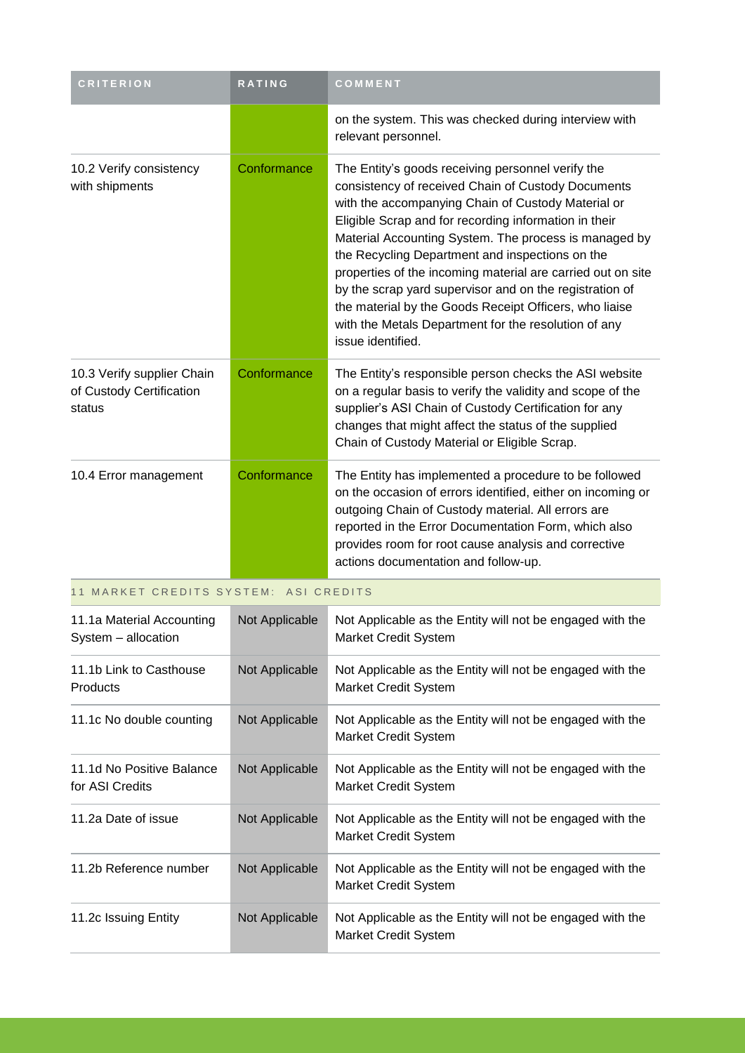| <b>CRITERION</b>                                                 | RATING         | COMMENT                                                                                                                                                                                                                                                                                                                                                                                                                                                                                                                                                                                             |
|------------------------------------------------------------------|----------------|-----------------------------------------------------------------------------------------------------------------------------------------------------------------------------------------------------------------------------------------------------------------------------------------------------------------------------------------------------------------------------------------------------------------------------------------------------------------------------------------------------------------------------------------------------------------------------------------------------|
|                                                                  |                | on the system. This was checked during interview with<br>relevant personnel.                                                                                                                                                                                                                                                                                                                                                                                                                                                                                                                        |
| 10.2 Verify consistency<br>with shipments                        | Conformance    | The Entity's goods receiving personnel verify the<br>consistency of received Chain of Custody Documents<br>with the accompanying Chain of Custody Material or<br>Eligible Scrap and for recording information in their<br>Material Accounting System. The process is managed by<br>the Recycling Department and inspections on the<br>properties of the incoming material are carried out on site<br>by the scrap yard supervisor and on the registration of<br>the material by the Goods Receipt Officers, who liaise<br>with the Metals Department for the resolution of any<br>issue identified. |
| 10.3 Verify supplier Chain<br>of Custody Certification<br>status | Conformance    | The Entity's responsible person checks the ASI website<br>on a regular basis to verify the validity and scope of the<br>supplier's ASI Chain of Custody Certification for any<br>changes that might affect the status of the supplied<br>Chain of Custody Material or Eligible Scrap.                                                                                                                                                                                                                                                                                                               |
| 10.4 Error management                                            | Conformance    | The Entity has implemented a procedure to be followed<br>on the occasion of errors identified, either on incoming or<br>outgoing Chain of Custody material. All errors are<br>reported in the Error Documentation Form, which also<br>provides room for root cause analysis and corrective<br>actions documentation and follow-up.                                                                                                                                                                                                                                                                  |
| 11 MARKET CREDITS SYSTEM: ASI CREDITS                            |                |                                                                                                                                                                                                                                                                                                                                                                                                                                                                                                                                                                                                     |
| 11.1a Material Accounting<br>System - allocation                 | Not Applicable | Not Applicable as the Entity will not be engaged with the<br>Market Credit System                                                                                                                                                                                                                                                                                                                                                                                                                                                                                                                   |
| 11.1b Link to Casthouse<br>Products                              | Not Applicable | Not Applicable as the Entity will not be engaged with the<br><b>Market Credit System</b>                                                                                                                                                                                                                                                                                                                                                                                                                                                                                                            |
| 11.1c No double counting                                         | Not Applicable | Not Applicable as the Entity will not be engaged with the<br>Market Credit System                                                                                                                                                                                                                                                                                                                                                                                                                                                                                                                   |
| 11.1d No Positive Balance<br>for ASI Credits                     | Not Applicable | Not Applicable as the Entity will not be engaged with the<br><b>Market Credit System</b>                                                                                                                                                                                                                                                                                                                                                                                                                                                                                                            |
| 11.2a Date of issue                                              | Not Applicable | Not Applicable as the Entity will not be engaged with the<br><b>Market Credit System</b>                                                                                                                                                                                                                                                                                                                                                                                                                                                                                                            |
| 11.2b Reference number                                           | Not Applicable | Not Applicable as the Entity will not be engaged with the<br>Market Credit System                                                                                                                                                                                                                                                                                                                                                                                                                                                                                                                   |
| 11.2c Issuing Entity                                             | Not Applicable | Not Applicable as the Entity will not be engaged with the                                                                                                                                                                                                                                                                                                                                                                                                                                                                                                                                           |

Market Credit System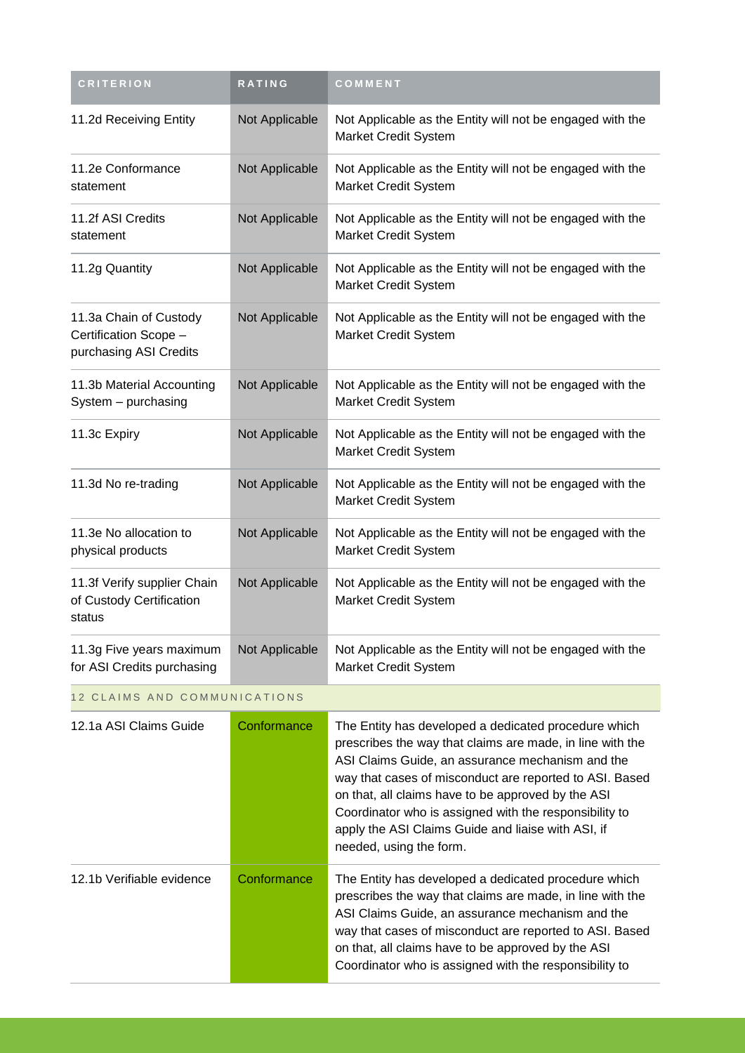| <b>CRITERION</b>                                                          | RATING         | COMMENT                                                                                  |
|---------------------------------------------------------------------------|----------------|------------------------------------------------------------------------------------------|
| 11.2d Receiving Entity                                                    | Not Applicable | Not Applicable as the Entity will not be engaged with the<br><b>Market Credit System</b> |
| 11.2e Conformance<br>statement                                            | Not Applicable | Not Applicable as the Entity will not be engaged with the<br>Market Credit System        |
| 11.2f ASI Credits<br>statement                                            | Not Applicable | Not Applicable as the Entity will not be engaged with the<br>Market Credit System        |
| 11.2g Quantity                                                            | Not Applicable | Not Applicable as the Entity will not be engaged with the<br>Market Credit System        |
| 11.3a Chain of Custody<br>Certification Scope -<br>purchasing ASI Credits | Not Applicable | Not Applicable as the Entity will not be engaged with the<br>Market Credit System        |
| 11.3b Material Accounting<br>System - purchasing                          | Not Applicable | Not Applicable as the Entity will not be engaged with the<br><b>Market Credit System</b> |
| 11.3c Expiry                                                              | Not Applicable | Not Applicable as the Entity will not be engaged with the<br>Market Credit System        |
| 11.3d No re-trading                                                       | Not Applicable | Not Applicable as the Entity will not be engaged with the<br><b>Market Credit System</b> |
| 11.3e No allocation to<br>physical products                               | Not Applicable | Not Applicable as the Entity will not be engaged with the<br><b>Market Credit System</b> |
| 11.3f Verify supplier Chain<br>of Custody Certification<br>status         | Not Applicable | Not Applicable as the Entity will not be engaged with the<br>Market Credit System        |
| 11.3g Five years maximum<br>for ASI Credits purchasing                    | Not Applicable | Not Applicable as the Entity will not be engaged with the<br>Market Credit System        |

## 12 CLAIMS AND COMMUNICATIONS

| 12.1a ASI Claims Guide    | Conformance | The Entity has developed a dedicated procedure which<br>prescribes the way that claims are made, in line with the<br>ASI Claims Guide, an assurance mechanism and the<br>way that cases of misconduct are reported to ASI. Based<br>on that, all claims have to be approved by the ASI<br>Coordinator who is assigned with the responsibility to<br>apply the ASI Claims Guide and liaise with ASI, if<br>needed, using the form. |
|---------------------------|-------------|-----------------------------------------------------------------------------------------------------------------------------------------------------------------------------------------------------------------------------------------------------------------------------------------------------------------------------------------------------------------------------------------------------------------------------------|
| 12.1b Verifiable evidence | Conformance | The Entity has developed a dedicated procedure which<br>prescribes the way that claims are made, in line with the<br>ASI Claims Guide, an assurance mechanism and the<br>way that cases of misconduct are reported to ASI. Based<br>on that, all claims have to be approved by the ASI<br>Coordinator who is assigned with the responsibility to                                                                                  |